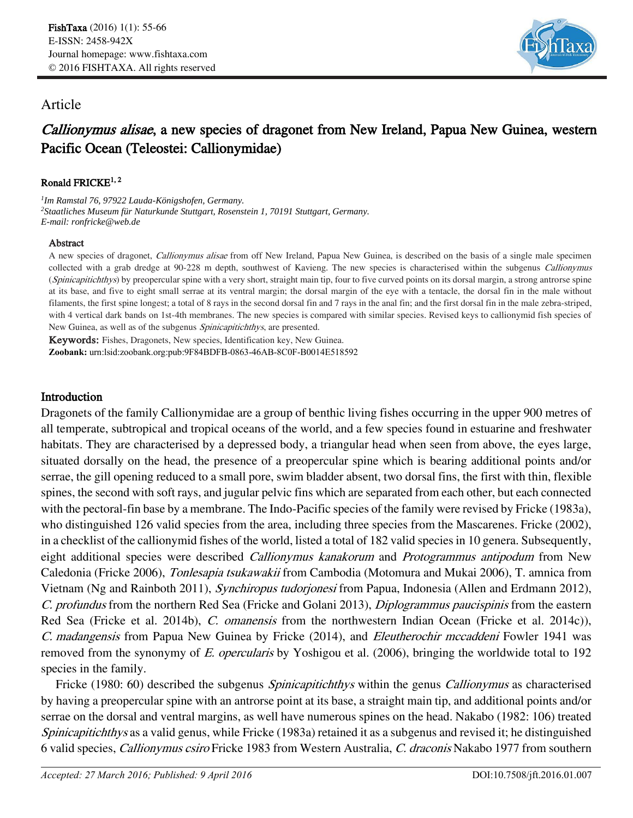

## Article

# Callionymus alisae, a new species of dragonet from New Ireland, Papua New Guinea, western Pacific Ocean (Teleostei: Callionymidae)

### Ronald FRICKE<sup>1, 2</sup>

*1 Im Ramstal 76, 97922 Lauda-Königshofen, Germany. <sup>2</sup>Staatliches Museum für Naturkunde Stuttgart, Rosenstein 1, 70191 Stuttgart, Germany. E-mail: ronfricke@web.de*

#### Abstract

A new species of dragonet, *Callionymus alisae* from off New Ireland, Papua New Guinea, is described on the basis of a single male specimen collected with a grab dredge at 90-228 m depth, southwest of Kavieng. The new species is characterised within the subgenus Callionymus (Spinicapitichthys) by preopercular spine with a very short, straight main tip, four to five curved points on its dorsal margin, a strong antrorse spine at its base, and five to eight small serrae at its ventral margin; the dorsal margin of the eye with a tentacle, the dorsal fin in the male without filaments, the first spine longest; a total of 8 rays in the second dorsal fin and 7 rays in the anal fin; and the first dorsal fin in the male zebra-striped, with 4 vertical dark bands on 1st-4th membranes. The new species is compared with similar species. Revised keys to callionymid fish species of New Guinea, as well as of the subgenus Spinicapitichthys, are presented.

Keywords: Fishes, Dragonets, New species, Identification key, New Guinea. **Zoobank:** urn:lsid:zoobank.org:pub:9F84BDFB-0863-46AB-8C0F-B0014E518592

## Introduction

Dragonets of the family Callionymidae are a group of benthic living fishes occurring in the upper 900 metres of all temperate, subtropical and tropical oceans of the world, and a few species found in estuarine and freshwater habitats. They are characterised by a depressed body, a triangular head when seen from above, the eyes large, situated dorsally on the head, the presence of a preopercular spine which is bearing additional points and/or serrae, the gill opening reduced to a small pore, swim bladder absent, two dorsal fins, the first with thin, flexible spines, the second with soft rays, and jugular pelvic fins which are separated from each other, but each connected with the pectoral-fin base by a membrane. The Indo-Pacific species of the family were revised by Fricke (1983a), who distinguished 126 valid species from the area, including three species from the Mascarenes. Fricke (2002), in a checklist of the callionymid fishes of the world, listed a total of 182 valid species in 10 genera. Subsequently, eight additional species were described Callionymus kanakorum and Protogrammus antipodum from New Caledonia (Fricke 2006), Tonlesapia tsukawakii from Cambodia (Motomura and Mukai 2006), T. amnica from Vietnam (Ng and Rainboth 2011), Synchiropus tudorjonesi from Papua, Indonesia (Allen and Erdmann 2012), C. profundus from the northern Red Sea (Fricke and Golani 2013), Diplogrammus paucispinis from the eastern Red Sea (Fricke et al. 2014b), C. omanensis from the northwestern Indian Ocean (Fricke et al. 2014c)), C. madangensis from Papua New Guinea by Fricke (2014), and Eleutherochir mccaddeni Fowler 1941 was removed from the synonymy of E. opercularis by Yoshigou et al. (2006), bringing the worldwide total to 192 species in the family.

Fricke (1980: 60) described the subgenus *Spinicapitichthys* within the genus *Callionymus* as characterised by having a preopercular spine with an antrorse point at its base, a straight main tip, and additional points and/or serrae on the dorsal and ventral margins, as well have numerous spines on the head. Nakabo (1982: 106) treated Spinicapitichthys as a valid genus, while Fricke (1983a) retained it as a subgenus and revised it; he distinguished 6 valid species, Callionymus csiro Fricke 1983 from Western Australia, C. draconis Nakabo 1977 from southern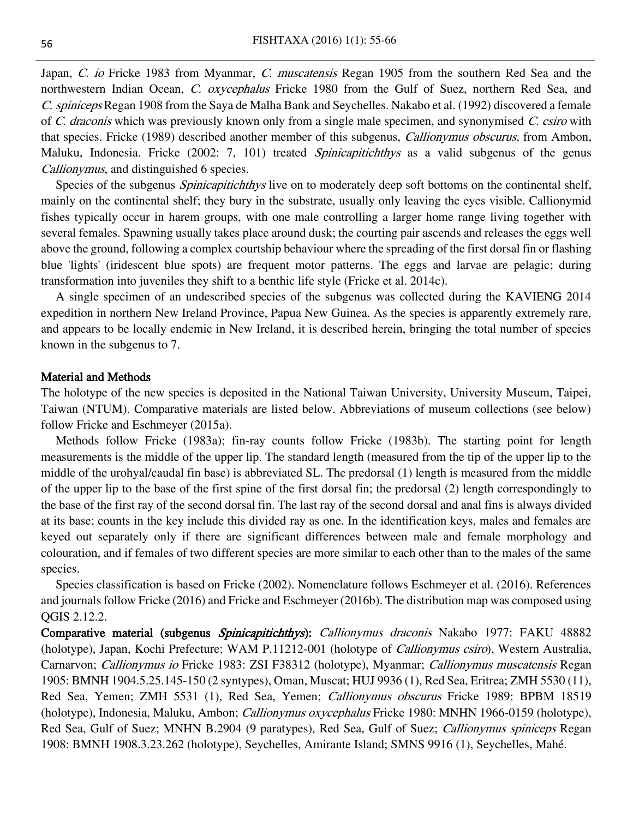Japan, C. io Fricke 1983 from Myanmar, C. muscatensis Regan 1905 from the southern Red Sea and the northwestern Indian Ocean, C. oxycephalus Fricke 1980 from the Gulf of Suez, northern Red Sea, and C. spiniceps Regan 1908 from the Saya de Malha Bank and Seychelles. Nakabo et al. (1992) discovered a female of C. draconis which was previously known only from a single male specimen, and synonymised C. csiro with that species. Fricke (1989) described another member of this subgenus, Callionymus obscurus, from Ambon, Maluku, Indonesia. Fricke (2002: 7, 101) treated *Spinicapitichthys* as a valid subgenus of the genus Callionymus, and distinguished 6 species.

Species of the subgenus *Spinicapitichthys* live on to moderately deep soft bottoms on the continental shelf, mainly on the continental shelf; they bury in the substrate, usually only leaving the eyes visible. Callionymid fishes typically occur in harem groups, with one male controlling a larger home range living together with several females. Spawning usually takes place around dusk; the courting pair ascends and releases the eggs well above the ground, following a complex courtship behaviour where the spreading of the first dorsal fin or flashing blue 'lights' (iridescent blue spots) are frequent motor patterns. The eggs and larvae are pelagic; during transformation into juveniles they shift to a benthic life style (Fricke et al. 2014c).

A single specimen of an undescribed species of the subgenus was collected during the KAVIENG 2014 expedition in northern New Ireland Province, Papua New Guinea. As the species is apparently extremely rare, and appears to be locally endemic in New Ireland, it is described herein, bringing the total number of species known in the subgenus to 7.

#### Material and Methods

The holotype of the new species is deposited in the National Taiwan University, University Museum, Taipei, Taiwan (NTUM). Comparative materials are listed below. Abbreviations of museum collections (see below) follow Fricke and Eschmeyer (2015a).

Methods follow Fricke (1983a); fin-ray counts follow Fricke (1983b). The starting point for length measurements is the middle of the upper lip. The standard length (measured from the tip of the upper lip to the middle of the urohyal/caudal fin base) is abbreviated SL. The predorsal (1) length is measured from the middle of the upper lip to the base of the first spine of the first dorsal fin; the predorsal (2) length correspondingly to the base of the first ray of the second dorsal fin. The last ray of the second dorsal and anal fins is always divided at its base; counts in the key include this divided ray as one. In the identification keys, males and females are keyed out separately only if there are significant differences between male and female morphology and colouration, and if females of two different species are more similar to each other than to the males of the same species.

Species classification is based on Fricke (2002). Nomenclature follows Eschmeyer et al. (2016). References and journals follow Fricke (2016) and Fricke and Eschmeyer (2016b). The distribution map was composed using QGIS 2.12.2.

Comparative material (subgenus Spinicapitichthys): Callionymus draconis Nakabo 1977: FAKU 48882 (holotype), Japan, Kochi Prefecture; WAM P.11212-001 (holotype of Callionymus csiro), Western Australia, Carnarvon; Callionymus io Fricke 1983: ZSI F38312 (holotype), Myanmar; Callionymus muscatensis Regan 1905: BMNH 1904.5.25.145-150 (2 syntypes), Oman, Muscat; HUJ 9936 (1), Red Sea, Eritrea; ZMH 5530 (11), Red Sea, Yemen; ZMH 5531 (1), Red Sea, Yemen; Callionymus obscurus Fricke 1989: BPBM 18519 (holotype), Indonesia, Maluku, Ambon; Callionymus oxycephalus Fricke 1980: MNHN 1966-0159 (holotype), Red Sea, Gulf of Suez; MNHN B.2904 (9 paratypes), Red Sea, Gulf of Suez; Callionymus spiniceps Regan 1908: BMNH 1908.3.23.262 (holotype), Seychelles, Amirante Island; SMNS 9916 (1), Seychelles, Mahé.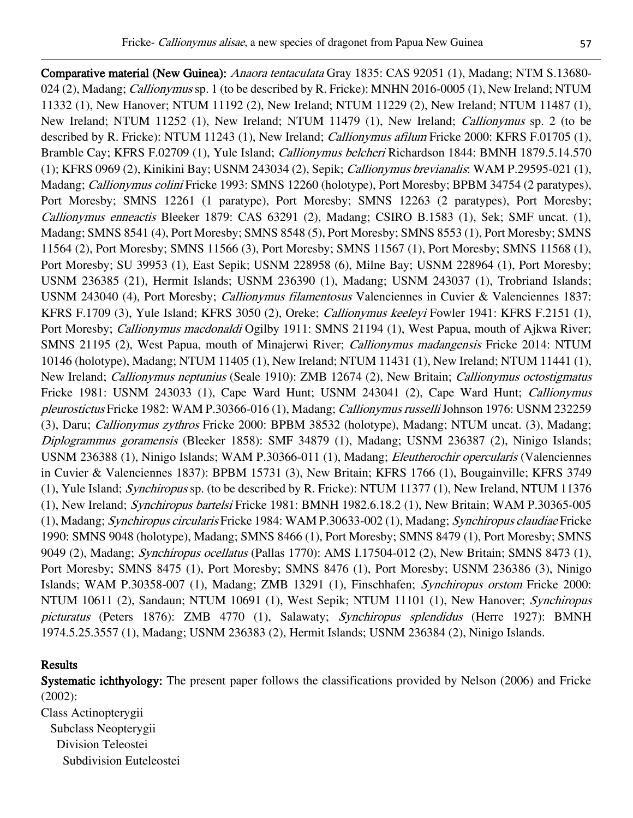Comparative material (New Guinea): Anaora tentaculata Gray 1835: CAS 92051 (1), Madang; NTM S.13680- 024 (2), Madang; *Callionymus* sp. 1 (to be described by R. Fricke): MNHN 2016-0005 (1), New Ireland; NTUM 11332 (1), New Hanover; NTUM 11192 (2), New Ireland; NTUM 11229 (2), New Ireland; NTUM 11487 (1), New Ireland; NTUM 11252 (1), New Ireland; NTUM 11479 (1), New Ireland; Callionymus sp. 2 (to be described by R. Fricke): NTUM 11243 (1), New Ireland; *Callionymus afilum* Fricke 2000: KFRS F.01705 (1), Bramble Cay; KFRS F.02709 (1), Yule Island; Callionymus belcheri Richardson 1844: BMNH 1879.5.14.570 (1); KFRS 0969 (2), Kinikini Bay; USNM 243034 (2), Sepik; Callionymus brevianalis: WAM P.29595-021 (1), Madang; Callionymus colini Fricke 1993: SMNS 12260 (holotype), Port Moresby; BPBM 34754 (2 paratypes), Port Moresby; SMNS 12261 (1 paratype), Port Moresby; SMNS 12263 (2 paratypes), Port Moresby; Callionymus enneactis Bleeker 1879: CAS 63291 (2), Madang; CSIRO B.1583 (1), Sek; SMF uncat. (1), Madang; SMNS 8541 (4), Port Moresby; SMNS 8548 (5), Port Moresby; SMNS 8553 (1), Port Moresby; SMNS 11564 (2), Port Moresby; SMNS 11566 (3), Port Moresby; SMNS 11567 (1), Port Moresby; SMNS 11568 (1), Port Moresby; SU 39953 (1), East Sepik; USNM 228958 (6), Milne Bay; USNM 228964 (1), Port Moresby; USNM 236385 (21), Hermit Islands; USNM 236390 (1), Madang; USNM 243037 (1), Trobriand Islands; USNM 243040 (4), Port Moresby; Callionymus filamentosus Valenciennes in Cuvier & Valenciennes 1837: KFRS F.1709 (3), Yule Island; KFRS 3050 (2), Oreke; Callionymus keeleyi Fowler 1941: KFRS F.2151 (1), Port Moresby; Callionymus macdonaldi Ogilby 1911: SMNS 21194 (1), West Papua, mouth of Ajkwa River; SMNS 21195 (2), West Papua, mouth of Minajerwi River; Callionymus madangensis Fricke 2014: NTUM 10146 (holotype), Madang; NTUM 11405 (1), New Ireland; NTUM 11431 (1), New Ireland; NTUM 11441 (1), New Ireland; Callionymus neptunius (Seale 1910): ZMB 12674 (2), New Britain; Callionymus octostigmatus Fricke 1981: USNM 243033 (1), Cape Ward Hunt; USNM 243041 (2), Cape Ward Hunt; Callionymus pleurostictus Fricke 1982: WAM P.30366-016 (1), Madang; Callionymus russelliJohnson 1976: USNM 232259 (3), Daru; Callionymus zythros Fricke 2000: BPBM 38532 (holotype), Madang; NTUM uncat. (3), Madang; Diplogrammus goramensis (Bleeker 1858): SMF 34879 (1), Madang; USNM 236387 (2), Ninigo Islands; USNM 236388 (1), Ninigo Islands; WAM P.30366-011 (1), Madang; Eleutherochir opercularis (Valenciennes in Cuvier & Valenciennes 1837): BPBM 15731 (3), New Britain; KFRS 1766 (1), Bougainville; KFRS 3749 (1), Yule Island; Synchiropus sp. (to be described by R. Fricke): NTUM 11377 (1), New Ireland, NTUM 11376 (1), New Ireland; Synchiropus bartelsi Fricke 1981: BMNH 1982.6.18.2 (1), New Britain; WAM P.30365-005 (1), Madang; Synchiropus circularis Fricke 1984: WAM P.30633-002 (1), Madang; Synchiropus claudiae Fricke 1990: SMNS 9048 (holotype), Madang; SMNS 8466 (1), Port Moresby; SMNS 8479 (1), Port Moresby; SMNS 9049 (2), Madang; Synchiropus ocellatus (Pallas 1770): AMS I.17504-012 (2), New Britain; SMNS 8473 (1), Port Moresby; SMNS 8475 (1), Port Moresby; SMNS 8476 (1), Port Moresby; USNM 236386 (3), Ninigo Islands; WAM P.30358-007 (1), Madang; ZMB 13291 (1), Finschhafen; Synchiropus orstom Fricke 2000: NTUM 10611 (2), Sandaun; NTUM 10691 (1), West Sepik; NTUM 11101 (1), New Hanover; Synchiropus picturatus (Peters 1876): ZMB 4770 (1), Salawaty; Synchiropus splendidus (Herre 1927): BMNH 1974.5.25.3557 (1), Madang; USNM 236383 (2), Hermit Islands; USNM 236384 (2), Ninigo Islands.

## Results

Systematic ichthyology: The present paper follows the classifications provided by Nelson (2006) and Fricke (2002): Class Actinopterygii

 Subclass Neopterygii Division Teleostei Subdivision Euteleostei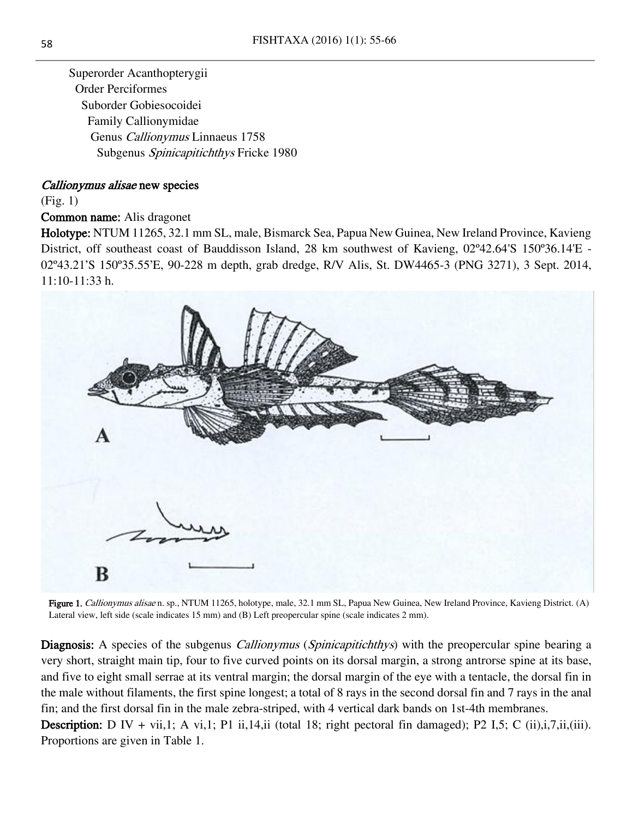Superorder Acanthopterygii Order Perciformes Suborder Gobiesocoidei Family Callionymidae Genus Callionymus Linnaeus 1758 Subgenus Spinicapitichthys Fricke 1980

#### Callionymus alisae new species

(Fig. 1)

Common name: Alis dragonet

Holotype: NTUM 11265, 32.1 mm SL, male, Bismarck Sea, Papua New Guinea, New Ireland Province, Kavieng District, off southeast coast of Bauddisson Island, 28 km southwest of Kavieng, 02º42.64'S 150º36.14'E - 02º43.21'S 150º35.55'E, 90-228 m depth, grab dredge, R/V Alis, St. DW4465-3 (PNG 3271), 3 Sept. 2014, 11:10-11:33 h.



Figure 1. Callionymus alisae n. sp., NTUM 11265, holotype, male, 32.1 mm SL, Papua New Guinea, New Ireland Province, Kavieng District. (A) Lateral view, left side (scale indicates 15 mm) and (B) Left preopercular spine (scale indicates 2 mm).

Diagnosis: A species of the subgenus *Callionymus* (*Spinicapitichthys*) with the preopercular spine bearing a very short, straight main tip, four to five curved points on its dorsal margin, a strong antrorse spine at its base, and five to eight small serrae at its ventral margin; the dorsal margin of the eye with a tentacle, the dorsal fin in the male without filaments, the first spine longest; a total of 8 rays in the second dorsal fin and 7 rays in the anal fin; and the first dorsal fin in the male zebra-striped, with 4 vertical dark bands on 1st-4th membranes. **Description:** D IV + vii,1; A vi,1; P1 ii,14,ii (total 18; right pectoral fin damaged); P2 I,5; C (ii),i,7,ii,(iii). Proportions are given in Table 1.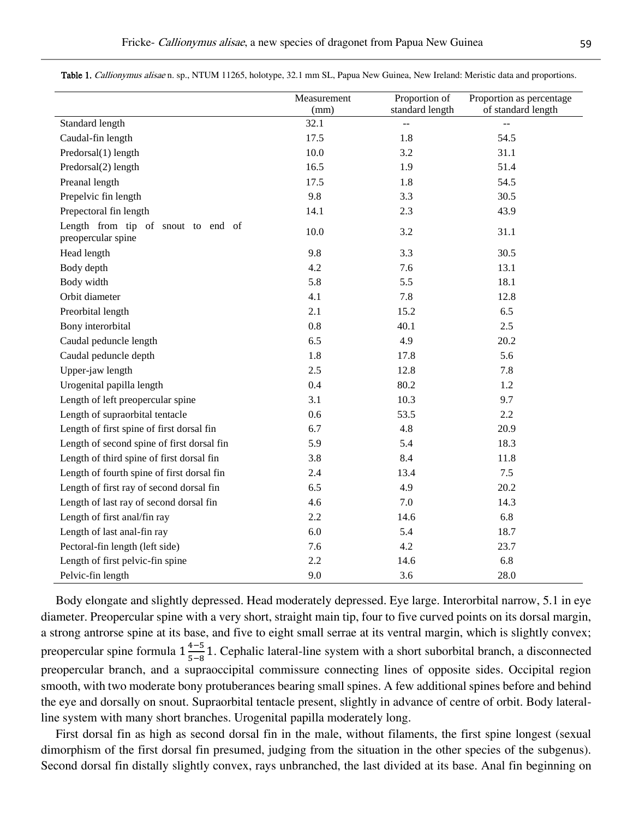|                                                          | Measurement | Proportion of   | Proportion as percentage |
|----------------------------------------------------------|-------------|-----------------|--------------------------|
|                                                          | (mm)        | standard length | of standard length       |
| Standard length                                          | 32.1        | $-$             | $\overline{a}$           |
| Caudal-fin length                                        | 17.5        | 1.8             | 54.5                     |
| Predorsal(1) length                                      | 10.0        | 3.2             | 31.1                     |
| Predorsal(2) length                                      | 16.5        | 1.9             | 51.4                     |
| Preanal length                                           | 17.5        | 1.8             | 54.5                     |
| Prepelvic fin length                                     | 9.8         | 3.3             | 30.5                     |
| Prepectoral fin length                                   | 14.1        | 2.3             | 43.9                     |
| Length from tip of snout to end of<br>preopercular spine | 10.0        | 3.2             | 31.1                     |
| Head length                                              | 9.8         | 3.3             | 30.5                     |
| Body depth                                               | 4.2         | 7.6             | 13.1                     |
| Body width                                               | 5.8         | 5.5             | 18.1                     |
| Orbit diameter                                           | 4.1         | 7.8             | 12.8                     |
| Preorbital length                                        | 2.1         | 15.2            | 6.5                      |
| Bony interorbital                                        | $0.8\,$     | 40.1            | 2.5                      |
| Caudal peduncle length                                   | 6.5         | 4.9             | 20.2                     |
| Caudal peduncle depth                                    | 1.8         | 17.8            | 5.6                      |
| Upper-jaw length                                         | 2.5         | 12.8            | 7.8                      |
| Urogenital papilla length                                | 0.4         | 80.2            | 1.2                      |
| Length of left preopercular spine                        | 3.1         | 10.3            | 9.7                      |
| Length of supraorbital tentacle                          | 0.6         | 53.5            | 2.2                      |
| Length of first spine of first dorsal fin                | 6.7         | 4.8             | 20.9                     |
| Length of second spine of first dorsal fin               | 5.9         | 5.4             | 18.3                     |
| Length of third spine of first dorsal fin                | 3.8         | 8.4             | 11.8                     |
| Length of fourth spine of first dorsal fin               | 2.4         | 13.4            | 7.5                      |
| Length of first ray of second dorsal fin                 | 6.5         | 4.9             | 20.2                     |
| Length of last ray of second dorsal fin                  | 4.6         | 7.0             | 14.3                     |
| Length of first anal/fin ray                             | 2.2         | 14.6            | 6.8                      |
| Length of last anal-fin ray                              | 6.0         | 5.4             | 18.7                     |
| Pectoral-fin length (left side)                          | 7.6         | 4.2             | 23.7                     |
| Length of first pelvic-fin spine                         | 2.2         | 14.6            | 6.8                      |
| Pelvic-fin length                                        | 9.0         | 3.6             | 28.0                     |

Table 1. Callionymus alisae n. sp., NTUM 11265, holotype, 32.1 mm SL, Papua New Guinea, New Ireland: Meristic data and proportions.

Body elongate and slightly depressed. Head moderately depressed. Eye large. Interorbital narrow, 5.1 in eye diameter. Preopercular spine with a very short, straight main tip, four to five curved points on its dorsal margin, a strong antrorse spine at its base, and five to eight small serrae at its ventral margin, which is slightly convex; preopercular spine formula  $1\frac{4-5}{5-2}$  $\frac{4-5}{5-8}$  1. Cephalic lateral-line system with a short suborbital branch, a disconnected preopercular branch, and a supraoccipital commissure connecting lines of opposite sides. Occipital region smooth, with two moderate bony protuberances bearing small spines. A few additional spines before and behind the eye and dorsally on snout. Supraorbital tentacle present, slightly in advance of centre of orbit. Body lateralline system with many short branches. Urogenital papilla moderately long.

First dorsal fin as high as second dorsal fin in the male, without filaments, the first spine longest (sexual dimorphism of the first dorsal fin presumed, judging from the situation in the other species of the subgenus). Second dorsal fin distally slightly convex, rays unbranched, the last divided at its base. Anal fin beginning on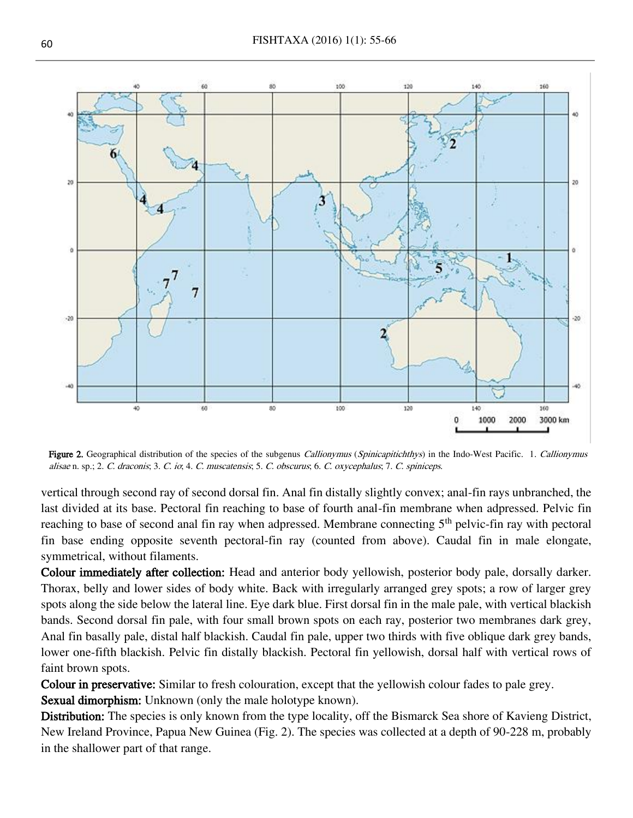

Figure 2. Geographical distribution of the species of the subgenus Callionymus (Spinicapitichthys) in the Indo-West Pacific. 1. Callionymus alisae n. sp.; 2. C. draconis; 3. C. io; 4. C. muscatensis; 5. C. obscurus; 6. C. oxycephalus; 7. C. spiniceps.

vertical through second ray of second dorsal fin. Anal fin distally slightly convex; anal-fin rays unbranched, the last divided at its base. Pectoral fin reaching to base of fourth anal-fin membrane when adpressed. Pelvic fin reaching to base of second anal fin ray when adpressed. Membrane connecting 5<sup>th</sup> pelvic-fin ray with pectoral fin base ending opposite seventh pectoral-fin ray (counted from above). Caudal fin in male elongate, symmetrical, without filaments.

Colour immediately after collection: Head and anterior body yellowish, posterior body pale, dorsally darker. Thorax, belly and lower sides of body white. Back with irregularly arranged grey spots; a row of larger grey spots along the side below the lateral line. Eye dark blue. First dorsal fin in the male pale, with vertical blackish bands. Second dorsal fin pale, with four small brown spots on each ray, posterior two membranes dark grey, Anal fin basally pale, distal half blackish. Caudal fin pale, upper two thirds with five oblique dark grey bands, lower one-fifth blackish. Pelvic fin distally blackish. Pectoral fin yellowish, dorsal half with vertical rows of faint brown spots.

Colour in preservative: Similar to fresh colouration, except that the yellowish colour fades to pale grey.

Sexual dimorphism: Unknown (only the male holotype known).

Distribution: The species is only known from the type locality, off the Bismarck Sea shore of Kavieng District, New Ireland Province, Papua New Guinea (Fig. 2). The species was collected at a depth of 90-228 m, probably in the shallower part of that range.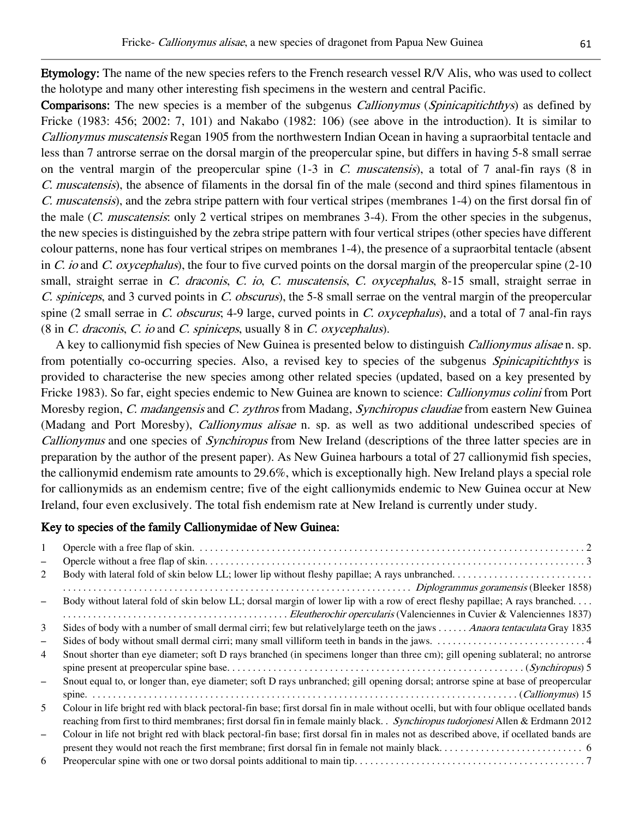Etymology: The name of the new species refers to the French research vessel R/V Alis, who was used to collect the holotype and many other interesting fish specimens in the western and central Pacific.

Comparisons: The new species is a member of the subgenus *Callionymus* (*Spinicapitichthys*) as defined by Fricke (1983: 456; 2002: 7, 101) and Nakabo (1982: 106) (see above in the introduction). It is similar to Callionymus muscatensis Regan 1905 from the northwestern Indian Ocean in having a supraorbital tentacle and less than 7 antrorse serrae on the dorsal margin of the preopercular spine, but differs in having 5-8 small serrae on the ventral margin of the preopercular spine  $(1-3$  in C. muscatensis), a total of 7 anal-fin rays  $(8 \text{ in } 1)$ C. muscatensis), the absence of filaments in the dorsal fin of the male (second and third spines filamentous in C. muscatensis), and the zebra stripe pattern with four vertical stripes (membranes 1-4) on the first dorsal fin of the male (C. muscatensis: only 2 vertical stripes on membranes 3-4). From the other species in the subgenus, the new species is distinguished by the zebra stripe pattern with four vertical stripes (other species have different colour patterns, none has four vertical stripes on membranes 1-4), the presence of a supraorbital tentacle (absent in C. io and C. oxycephalus), the four to five curved points on the dorsal margin of the preopercular spine  $(2-10)$ small, straight serrae in C. draconis, C. io, C. muscatensis, C. oxycephalus, 8-15 small, straight serrae in C. spiniceps, and 3 curved points in C. obscurus), the 5-8 small serrae on the ventral margin of the preopercular spine (2 small serrae in C. obscurus; 4-9 large, curved points in C. oxycephalus), and a total of 7 anal-fin rays  $(8 \text{ in } C.$  draconis, C. io and C. spiniceps, usually  $8 \text{ in } C.$  oxycephalus).

A key to callionymid fish species of New Guinea is presented below to distinguish Callionymus alisae n. sp. from potentially co-occurring species. Also, a revised key to species of the subgenus *Spinicapitichthys* is provided to characterise the new species among other related species (updated, based on a key presented by Fricke 1983). So far, eight species endemic to New Guinea are known to science: Callionymus colini from Port Moresby region, C. madangensis and C. zythros from Madang, Synchiropus claudiae from eastern New Guinea (Madang and Port Moresby), *Callionymus alisae* n. sp. as well as two additional undescribed species of Callionymus and one species of Synchiropus from New Ireland (descriptions of the three latter species are in preparation by the author of the present paper). As New Guinea harbours a total of 27 callionymid fish species, the callionymid endemism rate amounts to 29.6%, which is exceptionally high. New Ireland plays a special role for callionymids as an endemism centre; five of the eight callionymids endemic to New Guinea occur at New Ireland, four even exclusively. The total fish endemism rate at New Ireland is currently under study.

#### Key to species of the family Callionymidae of New Guinea:

| 1                        |                                                                                                                                        |
|--------------------------|----------------------------------------------------------------------------------------------------------------------------------------|
| $\qquad \qquad -$        |                                                                                                                                        |
| 2                        |                                                                                                                                        |
|                          |                                                                                                                                        |
| $\overline{\phantom{0}}$ | Body without lateral fold of skin below LL; dorsal margin of lower lip with a row of erect fleshy papillae; A rays branched            |
|                          |                                                                                                                                        |
| 3                        | Sides of body with a number of small dermal cirri; few but relatively large teeth on the jaws Anaora tentaculata Gray 1835             |
| $\qquad \qquad$          |                                                                                                                                        |
| 4                        | Snout shorter than eye diameter; soft D rays branched (in specimens longer than three cm); gill opening sublateral; no antrorse        |
|                          |                                                                                                                                        |
|                          | Snout equal to, or longer than, eye diameter; soft D rays unbranched; gill opening dorsal; antrorse spine at base of preopercular      |
|                          |                                                                                                                                        |
| 5                        | Colour in life bright red with black pectoral-fin base; first dorsal fin in male without ocelli, but with four oblique ocellated bands |
|                          | reaching from first to third membranes; first dorsal fin in female mainly black. Synchiropus tudorionesi Allen & Erdmann 2012          |
| $\overline{\phantom{0}}$ | Colour in life not bright red with black pectoral-fin base; first dorsal fin in males not as described above, if ocellated bands are   |
|                          |                                                                                                                                        |
| 6                        |                                                                                                                                        |
|                          |                                                                                                                                        |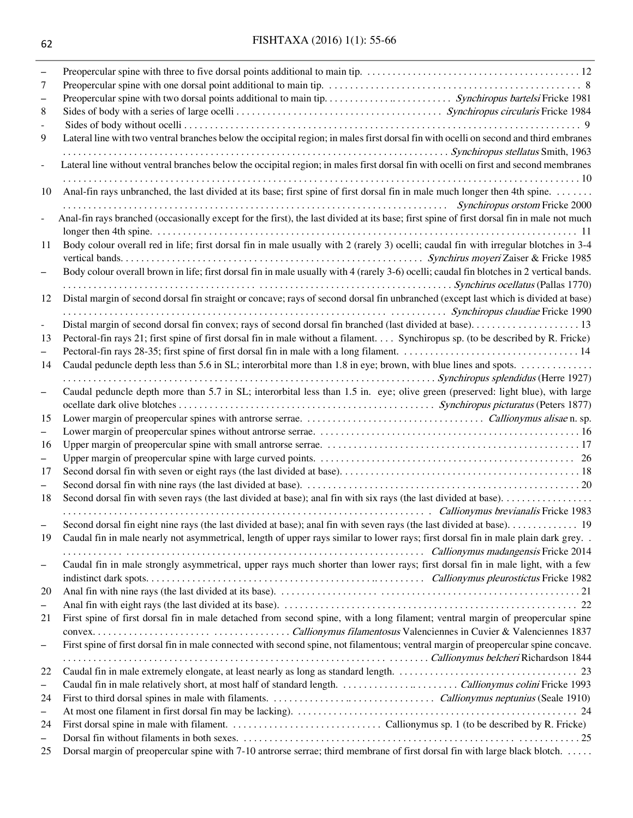| -<br>7                   |                                                                                                                                                                                    |
|--------------------------|------------------------------------------------------------------------------------------------------------------------------------------------------------------------------------|
| 8                        |                                                                                                                                                                                    |
| 9                        | Lateral line with two ventral branches below the occipital region; in males first dorsal fin with ocelli on second and third embranes                                              |
| $\overline{a}$           | Lateral line without ventral branches below the occipital region; in males first dorsal fin with ocelli on first and second membranes                                              |
| 10                       | Anal-fin rays unbranched, the last divided at its base; first spine of first dorsal fin in male much longer then 4th spine.<br>Synchiropus or Synchronic Contract and Tricker 2000 |
| $\overline{a}$           | Anal-fin rays branched (occasionally except for the first), the last divided at its base; first spine of first dorsal fin in male not much                                         |
| 11                       | Body colour overall red in life; first dorsal fin in male usually with 2 (rarely 3) ocelli; caudal fin with irregular blotches in 3-4                                              |
|                          | Body colour overall brown in life; first dorsal fin in male usually with 4 (rarely 3-6) ocelli; caudal fin blotches in 2 vertical bands.                                           |
| 12                       | Distal margin of second dorsal fin straight or concave; rays of second dorsal fin unbranched (except last which is divided at base)                                                |
| $\blacksquare$           |                                                                                                                                                                                    |
| 13<br>-                  | Pectoral-fin rays 21; first spine of first dorsal fin in male without a filament Synchiropus sp. (to be described by R. Fricke)                                                    |
| 14                       | Synchiropus splendidus (Herre 1927)                                                                                                                                                |
| $\qquad \qquad -$        | Caudal peduncle depth more than 5.7 in SL; interorbital less than 1.5 in. eye; olive green (preserved: light blue), with large                                                     |
| 15                       |                                                                                                                                                                                    |
| $\equiv$                 |                                                                                                                                                                                    |
| 16                       |                                                                                                                                                                                    |
| -                        |                                                                                                                                                                                    |
| 17                       |                                                                                                                                                                                    |
| $\overline{\phantom{0}}$ |                                                                                                                                                                                    |
| 18                       |                                                                                                                                                                                    |
|                          | callionymus brevianalis Fricke 1983                                                                                                                                                |
|                          |                                                                                                                                                                                    |
| 19                       | Caudal fin in male nearly not asymmetrical, length of upper rays similar to lower rays; first dorsal fin in male plain dark grey. .                                                |
|                          | callionymus madangensis Fricke 2014<br>Caudal fin in male strongly asymmetrical, upper rays much shorter than lower rays; first dorsal fin in male light, with a few               |
| $\overline{\phantom{m}}$ |                                                                                                                                                                                    |
| 20                       |                                                                                                                                                                                    |
| $\qquad \qquad -$        |                                                                                                                                                                                    |
| 21                       | First spine of first dorsal fin in male detached from second spine, with a long filament; ventral margin of preopercular spine                                                     |
|                          |                                                                                                                                                                                    |
| -                        | First spine of first dorsal fin in male connected with second spine, not filamentous; ventral margin of preopercular spine concave.                                                |
|                          |                                                                                                                                                                                    |
| 22                       |                                                                                                                                                                                    |
| $\overline{\phantom{0}}$ |                                                                                                                                                                                    |
| 24                       |                                                                                                                                                                                    |
| -                        |                                                                                                                                                                                    |
| 24<br>$\qquad \qquad -$  |                                                                                                                                                                                    |
|                          |                                                                                                                                                                                    |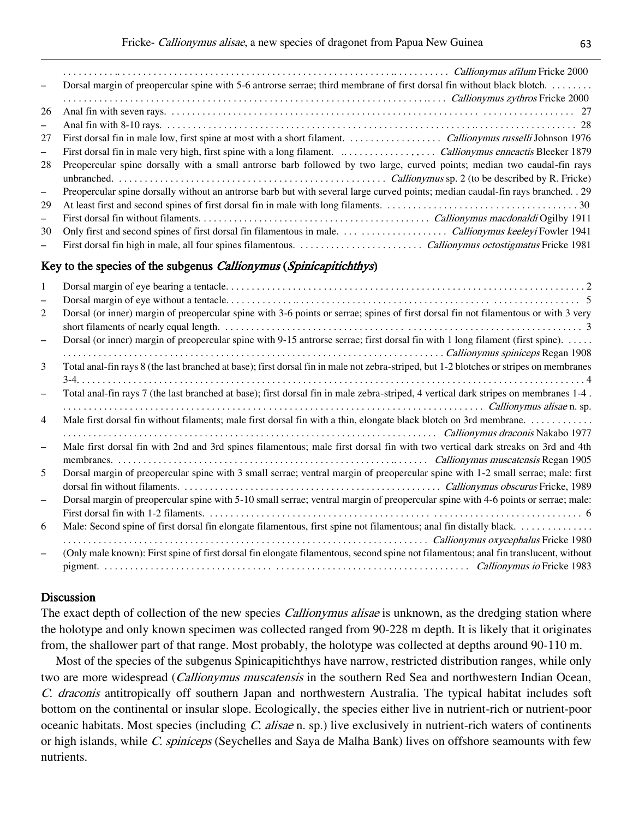| $\overline{\phantom{m}}$ | Dorsal margin of preopercular spine with 5-6 antrorse serrae; third membrane of first dorsal fin without black blotch.           |
|--------------------------|----------------------------------------------------------------------------------------------------------------------------------|
|                          | continuous systems Ericke 2000 and The Californian Calliony must system Fricke 2000                                              |
| 26                       |                                                                                                                                  |
| $\qquad \qquad -$        |                                                                                                                                  |
| 27                       |                                                                                                                                  |
| $\qquad \qquad -$        |                                                                                                                                  |
| 28                       | Preopercular spine dorsally with a small antrorse barb followed by two large, curved points; median two caudal-fin rays          |
|                          |                                                                                                                                  |
| $\overline{\phantom{m}}$ | Preopercular spine dorsally without an antrorse barb but with several large curved points; median caudal-fin rays branched. . 29 |
| 29                       |                                                                                                                                  |
| $\overline{\phantom{0}}$ |                                                                                                                                  |
| 30                       |                                                                                                                                  |
| $\qquad \qquad -$        |                                                                                                                                  |

#### Key to the species of the subgenus *Callionymus* (*Spinicapitichthys*)

| 1                        |                                                                                                                                         |
|--------------------------|-----------------------------------------------------------------------------------------------------------------------------------------|
| -                        |                                                                                                                                         |
| 2                        | Dorsal (or inner) margin of preopercular spine with 3-6 points or serrae; spines of first dorsal fin not filamentous or with 3 very     |
| $\overline{\phantom{0}}$ | Dorsal (or inner) margin of preopercular spine with 9-15 antrorse serrae; first dorsal fin with 1 long filament (first spine).          |
| 3                        | Total anal-fin rays 8 (the last branched at base); first dorsal fin in male not zebra-striped, but 1-2 blotches or stripes on membranes |
|                          |                                                                                                                                         |
|                          | Total anal-fin rays 7 (the last branched at base); first dorsal fin in male zebra-striped, 4 vertical dark stripes on membranes 1-4.    |
|                          |                                                                                                                                         |
| $\overline{4}$           |                                                                                                                                         |
|                          |                                                                                                                                         |
| $\equiv$                 | Male first dorsal fin with 2nd and 3rd spines filamentous; male first dorsal fin with two vertical dark streaks on 3rd and 4th          |
|                          |                                                                                                                                         |
| 5.                       | Dorsal margin of preopercular spine with 3 small serrae; ventral margin of preopercular spine with 1-2 small serrae; male: first        |
|                          |                                                                                                                                         |
|                          | Dorsal margin of preopercular spine with 5-10 small serrae; ventral margin of preopercular spine with 4-6 points or serrae; male:       |
|                          |                                                                                                                                         |
| 6                        |                                                                                                                                         |
|                          |                                                                                                                                         |
|                          | (Only male known): First spine of first dorsal fin elongate filamentous, second spine not filamentous; anal fin translucent, without    |
|                          |                                                                                                                                         |

#### Discussion

The exact depth of collection of the new species *Callionymus alisae* is unknown, as the dredging station where the holotype and only known specimen was collected ranged from 90-228 m depth. It is likely that it originates from, the shallower part of that range. Most probably, the holotype was collected at depths around 90-110 m.

Most of the species of the subgenus Spinicapitichthys have narrow, restricted distribution ranges, while only two are more widespread (*Callionymus muscatensis* in the southern Red Sea and northwestern Indian Ocean, C. draconis antitropically off southern Japan and northwestern Australia. The typical habitat includes soft bottom on the continental or insular slope. Ecologically, the species either live in nutrient-rich or nutrient-poor oceanic habitats. Most species (including C. alisae n. sp.) live exclusively in nutrient-rich waters of continents or high islands, while C. spiniceps (Seychelles and Saya de Malha Bank) lives on offshore seamounts with few nutrients.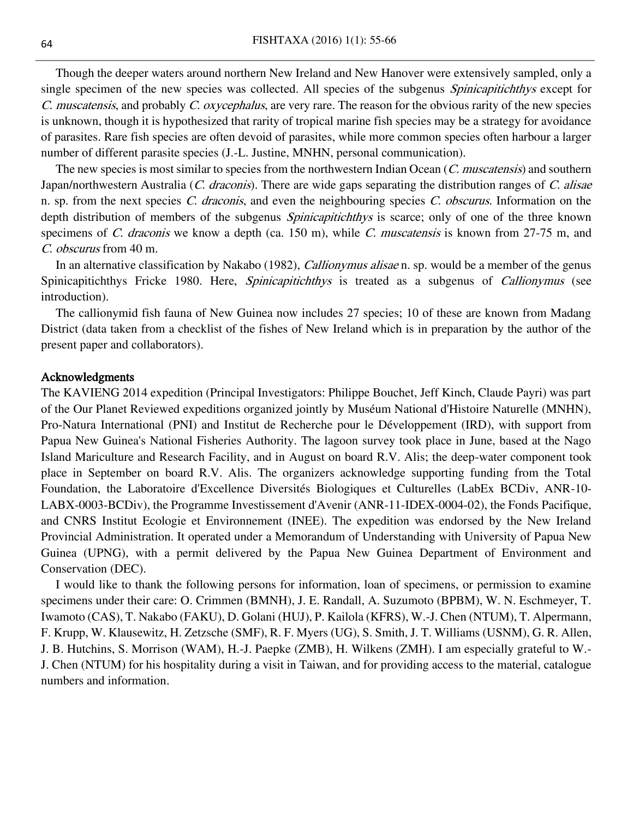Though the deeper waters around northern New Ireland and New Hanover were extensively sampled, only a single specimen of the new species was collected. All species of the subgenus *Spinicapitichthys* except for C. muscatensis, and probably C. oxycephalus, are very rare. The reason for the obvious rarity of the new species is unknown, though it is hypothesized that rarity of tropical marine fish species may be a strategy for avoidance of parasites. Rare fish species are often devoid of parasites, while more common species often harbour a larger number of different parasite species (J.-L. Justine, MNHN, personal communication).

The new species is most similar to species from the northwestern Indian Ocean (C. muscatensis) and southern Japan/northwestern Australia (C. draconis). There are wide gaps separating the distribution ranges of C. alisae n. sp. from the next species C. draconis, and even the neighbouring species C. obscurus. Information on the depth distribution of members of the subgenus *Spinicapitichthys* is scarce; only of one of the three known specimens of C. draconis we know a depth (ca. 150 m), while C. muscatensis is known from 27-75 m, and C. obscurus from 40 m.

In an alternative classification by Nakabo (1982), *Callionymus alisae* n. sp. would be a member of the genus Spinicapitichthys Fricke 1980. Here, *Spinicapitichthys* is treated as a subgenus of *Callionymus* (see introduction).

The callionymid fish fauna of New Guinea now includes 27 species; 10 of these are known from Madang District (data taken from a checklist of the fishes of New Ireland which is in preparation by the author of the present paper and collaborators).

#### Acknowledgments

The KAVIENG 2014 expedition (Principal Investigators: Philippe Bouchet, Jeff Kinch, Claude Payri) was part of the Our Planet Reviewed expeditions organized jointly by Muséum National d'Histoire Naturelle (MNHN), Pro-Natura International (PNI) and Institut de Recherche pour le Développement (IRD), with support from Papua New Guinea's National Fisheries Authority. The lagoon survey took place in June, based at the Nago Island Mariculture and Research Facility, and in August on board R.V. Alis; the deep-water component took place in September on board R.V. Alis. The organizers acknowledge supporting funding from the Total Foundation, the Laboratoire d'Excellence Diversités Biologiques et Culturelles (LabEx BCDiv, ANR-10- LABX-0003-BCDiv), the Programme Investissement d'Avenir (ANR-11-IDEX-0004-02), the Fonds Pacifique, and CNRS Institut Ecologie et Environnement (INEE). The expedition was endorsed by the New Ireland Provincial Administration. It operated under a Memorandum of Understanding with University of Papua New Guinea (UPNG), with a permit delivered by the Papua New Guinea Department of Environment and Conservation (DEC).

I would like to thank the following persons for information, loan of specimens, or permission to examine specimens under their care: O. Crimmen (BMNH), J. E. Randall, A. Suzumoto (BPBM), W. N. Eschmeyer, T. Iwamoto (CAS), T. Nakabo (FAKU), D. Golani (HUJ), P. Kailola (KFRS), W.-J. Chen (NTUM), T. Alpermann, F. Krupp, W. Klausewitz, H. Zetzsche (SMF), R. F. Myers (UG), S. Smith, J. T. Williams (USNM), G. R. Allen, J. B. Hutchins, S. Morrison (WAM), H.-J. Paepke (ZMB), H. Wilkens (ZMH). I am especially grateful to W.- J. Chen (NTUM) for his hospitality during a visit in Taiwan, and for providing access to the material, catalogue numbers and information.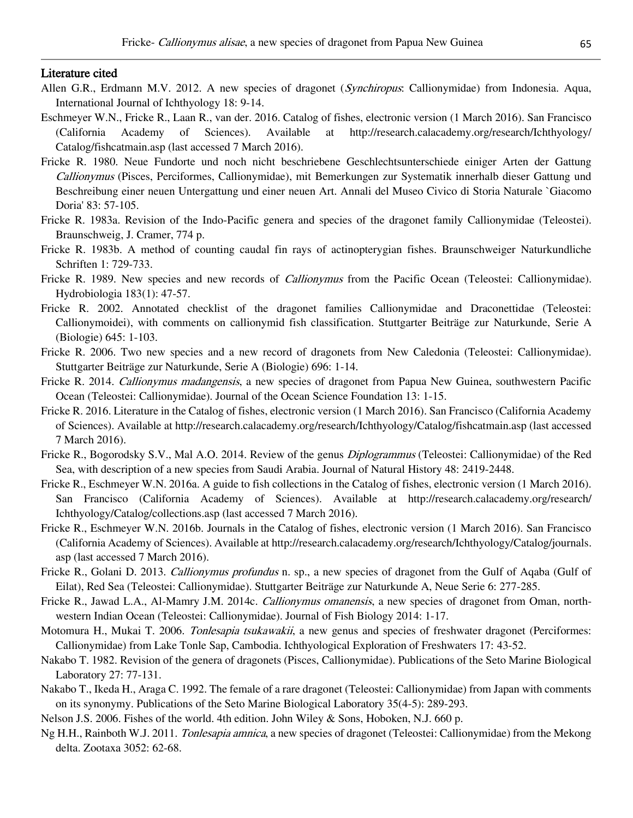#### Literature cited

- Allen G.R., Erdmann M.V. 2012. A new species of dragonet (Synchiropus: Callionymidae) from Indonesia. Aqua, International Journal of Ichthyology 18: 9-14.
- Eschmeyer W.N., Fricke R., Laan R., van der. 2016. Catalog of fishes, electronic version (1 March 2016). San Francisco (California Academy of Sciences). Available at http://research.calacademy.org/research/Ichthyology/ Catalog/fishcatmain.asp (last accessed 7 March 2016).
- Fricke R. 1980. Neue Fundorte und noch nicht beschriebene Geschlechtsunterschiede einiger Arten der Gattung Callionymus (Pisces, Perciformes, Callionymidae), mit Bemerkungen zur Systematik innerhalb dieser Gattung und Beschreibung einer neuen Untergattung und einer neuen Art. Annali del Museo Civico di Storia Naturale `Giacomo Doria' 83: 57-105.
- Fricke R. 1983a. Revision of the Indo-Pacific genera and species of the dragonet family Callionymidae (Teleostei). Braunschweig, J. Cramer, 774 p.
- Fricke R. 1983b. A method of counting caudal fin rays of actinopterygian fishes. Braunschweiger Naturkundliche Schriften 1: 729-733.
- Fricke R. 1989. New species and new records of *Callionymus* from the Pacific Ocean (Teleostei: Callionymidae). Hydrobiologia 183(1): 47-57.
- Fricke R. 2002. Annotated checklist of the dragonet families Callionymidae and Draconettidae (Teleostei: Callionymoidei), with comments on callionymid fish classification. Stuttgarter Beiträge zur Naturkunde, Serie A (Biologie) 645: 1-103.
- Fricke R. 2006. Two new species and a new record of dragonets from New Caledonia (Teleostei: Callionymidae). Stuttgarter Beiträge zur Naturkunde, Serie A (Biologie) 696: 1-14.
- Fricke R. 2014. Callionymus madangensis, a new species of dragonet from Papua New Guinea, southwestern Pacific Ocean (Teleostei: Callionymidae). Journal of the Ocean Science Foundation 13: 1-15.
- Fricke R. 2016. Literature in the Catalog of fishes, electronic version (1 March 2016). San Francisco (California Academy of Sciences). Available at http://research.calacademy.org/research/Ichthyology/Catalog/fishcatmain.asp (last accessed 7 March 2016).
- Fricke R., Bogorodsky S.V., Mal A.O. 2014. Review of the genus Diplogrammus (Teleostei: Callionymidae) of the Red Sea, with description of a new species from Saudi Arabia. Journal of Natural History 48: 2419-2448.
- Fricke R., Eschmeyer W.N. 2016a. A guide to fish collections in the Catalog of fishes, electronic version (1 March 2016). San Francisco (California Academy of Sciences). Available at http://research.calacademy.org/research/ Ichthyology/Catalog/collections.asp (last accessed 7 March 2016).
- Fricke R., Eschmeyer W.N. 2016b. Journals in the Catalog of fishes, electronic version (1 March 2016). San Francisco (California Academy of Sciences). Available at http://research.calacademy.org/research/Ichthyology/Catalog/journals. asp (last accessed 7 March 2016).
- Fricke R., Golani D. 2013. *Callionymus profundus* n. sp., a new species of dragonet from the Gulf of Aqaba (Gulf of Eilat), Red Sea (Teleostei: Callionymidae). Stuttgarter Beiträge zur Naturkunde A, Neue Serie 6: 277-285.
- Fricke R., Jawad L.A., Al-Mamry J.M. 2014c. Callionymus omanensis, a new species of dragonet from Oman, northwestern Indian Ocean (Teleostei: Callionymidae). Journal of Fish Biology 2014: 1-17.
- Motomura H., Mukai T. 2006. Tonlesapia tsukawakii, a new genus and species of freshwater dragonet (Perciformes: Callionymidae) from Lake Tonle Sap, Cambodia. Ichthyological Exploration of Freshwaters 17: 43-52.
- Nakabo T. 1982. Revision of the genera of dragonets (Pisces, Callionymidae). Publications of the Seto Marine Biological Laboratory 27: 77-131.
- Nakabo T., Ikeda H., Araga C. 1992. The female of a rare dragonet (Teleostei: Callionymidae) from Japan with comments on its synonymy. Publications of the Seto Marine Biological Laboratory 35(4-5): 289-293.
- Nelson J.S. 2006. Fishes of the world. 4th edition. John Wiley & Sons, Hoboken, N.J. 660 p.
- Ng H.H., Rainboth W.J. 2011. *Tonlesapia amnica*, a new species of dragonet (Teleostei: Callionymidae) from the Mekong delta. Zootaxa 3052: 62-68.